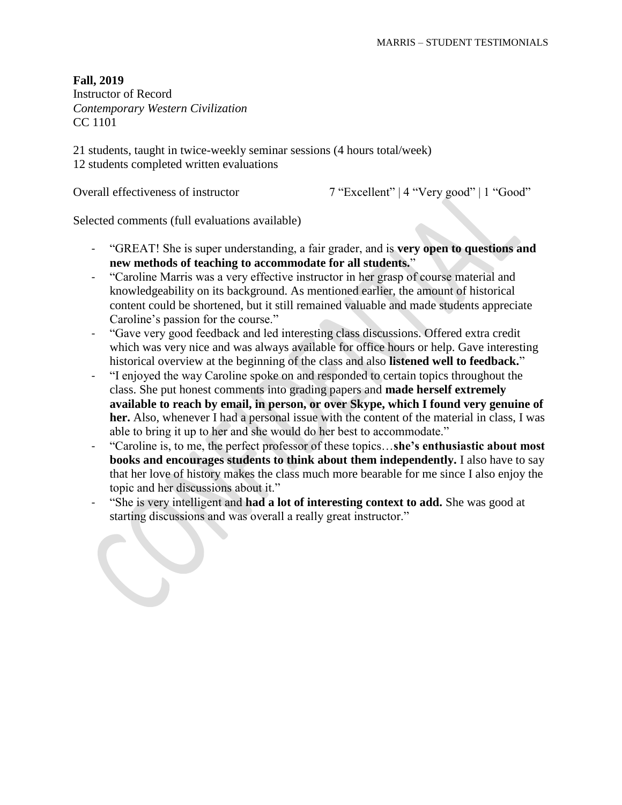Instructor of Record *Contemporary Western Civilization* CC 1101

21 students, taught in twice-weekly seminar sessions (4 hours total/week) 12 students completed written evaluations

Overall effectiveness of instructor 7 "Excellent" | 4 "Very good" | 1 "Good"

- "GREAT! She is super understanding, a fair grader, and is **very open to questions and new methods of teaching to accommodate for all students.**"
- "Caroline Marris was a very effective instructor in her grasp of course material and knowledgeability on its background. As mentioned earlier, the amount of historical content could be shortened, but it still remained valuable and made students appreciate Caroline's passion for the course."
- "Gave very good feedback and led interesting class discussions. Offered extra credit which was very nice and was always available for office hours or help. Gave interesting historical overview at the beginning of the class and also **listened well to feedback.**"
- "I enjoyed the way Caroline spoke on and responded to certain topics throughout the class. She put honest comments into grading papers and **made herself extremely available to reach by email, in person, or over Skype, which I found very genuine of her.** Also, whenever I had a personal issue with the content of the material in class, I was able to bring it up to her and she would do her best to accommodate."
- "Caroline is, to me, the perfect professor of these topics…**she's enthusiastic about most books and encourages students to think about them independently.** I also have to say that her love of history makes the class much more bearable for me since I also enjoy the topic and her discussions about it."
- "She is very intelligent and **had a lot of interesting context to add.** She was good at starting discussions and was overall a really great instructor."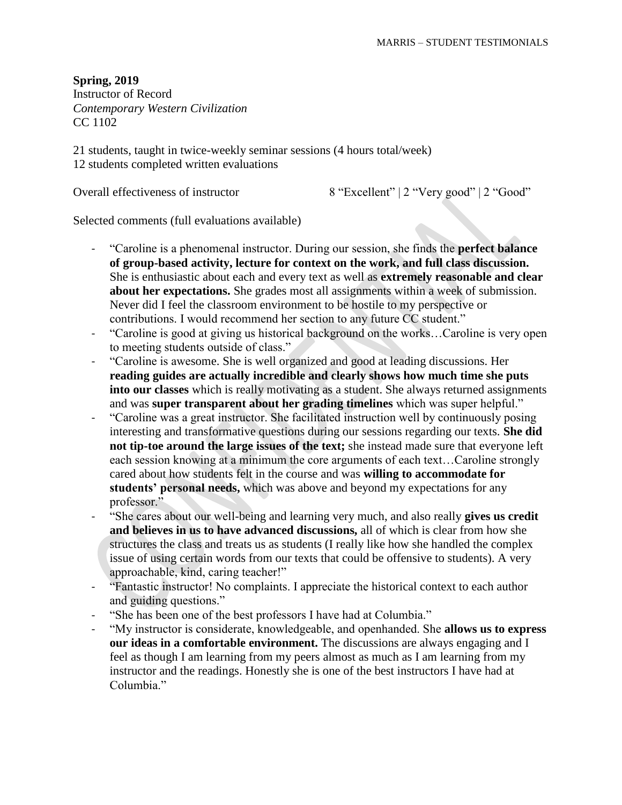**Spring, 2019**

Instructor of Record *Contemporary Western Civilization* CC 1102

21 students, taught in twice-weekly seminar sessions (4 hours total/week) 12 students completed written evaluations

Overall effectiveness of instructor 8 "Excellent" | 2 "Very good" | 2 "Good"

- "Caroline is a phenomenal instructor. During our session, she finds the **perfect balance of group-based activity, lecture for context on the work, and full class discussion.** She is enthusiastic about each and every text as well as **extremely reasonable and clear about her expectations.** She grades most all assignments within a week of submission. Never did I feel the classroom environment to be hostile to my perspective or contributions. I would recommend her section to any future CC student."
- "Caroline is good at giving us historical background on the works…Caroline is very open to meeting students outside of class."
- "Caroline is awesome. She is well organized and good at leading discussions. Her **reading guides are actually incredible and clearly shows how much time she puts into our classes** which is really motivating as a student. She always returned assignments and was **super transparent about her grading timelines** which was super helpful."
- "Caroline was a great instructor. She facilitated instruction well by continuously posing interesting and transformative questions during our sessions regarding our texts. **She did not tip-toe around the large issues of the text;** she instead made sure that everyone left each session knowing at a minimum the core arguments of each text…Caroline strongly cared about how students felt in the course and was **willing to accommodate for students' personal needs,** which was above and beyond my expectations for any professor."
- "She cares about our well-being and learning very much, and also really **gives us credit and believes in us to have advanced discussions,** all of which is clear from how she structures the class and treats us as students (I really like how she handled the complex issue of using certain words from our texts that could be offensive to students). A very approachable, kind, caring teacher!"
- "Fantastic instructor! No complaints. I appreciate the historical context to each author and guiding questions."
- "She has been one of the best professors I have had at Columbia."
- "My instructor is considerate, knowledgeable, and openhanded. She **allows us to express our ideas in a comfortable environment.** The discussions are always engaging and I feel as though I am learning from my peers almost as much as I am learning from my instructor and the readings. Honestly she is one of the best instructors I have had at Columbia<sup>"</sup>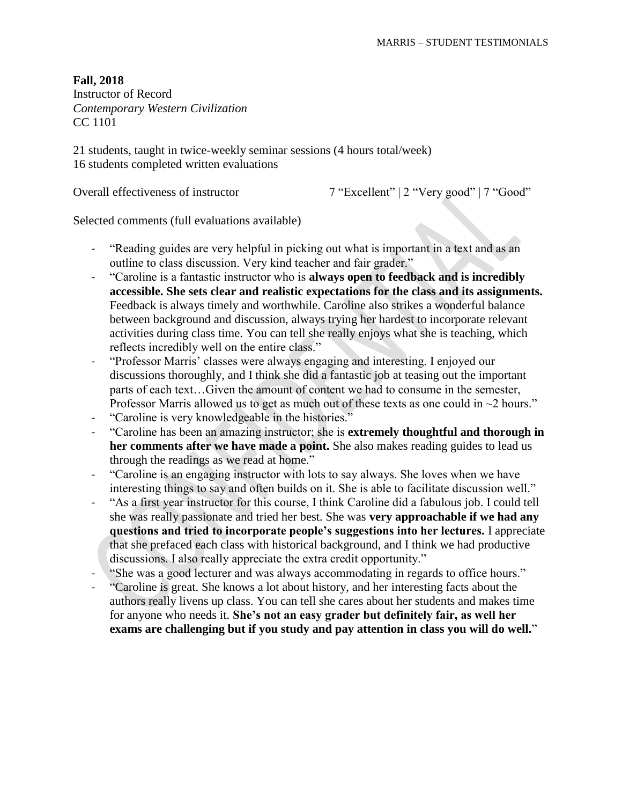Instructor of Record *Contemporary Western Civilization* CC 1101

21 students, taught in twice-weekly seminar sessions (4 hours total/week) 16 students completed written evaluations

Overall effectiveness of instructor 7 "Excellent" | 2 "Very good" | 7 "Good"

- "Reading guides are very helpful in picking out what is important in a text and as an outline to class discussion. Very kind teacher and fair grader."
- "Caroline is a fantastic instructor who is **always open to feedback and is incredibly accessible. She sets clear and realistic expectations for the class and its assignments.** Feedback is always timely and worthwhile. Caroline also strikes a wonderful balance between background and discussion, always trying her hardest to incorporate relevant activities during class time. You can tell she really enjoys what she is teaching, which reflects incredibly well on the entire class."
- "Professor Marris' classes were always engaging and interesting. I enjoyed our discussions thoroughly, and I think she did a fantastic job at teasing out the important parts of each text…Given the amount of content we had to consume in the semester, Professor Marris allowed us to get as much out of these texts as one could in  $\sim$ 2 hours."
- "Caroline is very knowledgeable in the histories."
- "Caroline has been an amazing instructor; she is **extremely thoughtful and thorough in her comments after we have made a point.** She also makes reading guides to lead us through the readings as we read at home."
- "Caroline is an engaging instructor with lots to say always. She loves when we have interesting things to say and often builds on it. She is able to facilitate discussion well."
- "As a first year instructor for this course, I think Caroline did a fabulous job. I could tell she was really passionate and tried her best. She was **very approachable if we had any questions and tried to incorporate people's suggestions into her lectures.** I appreciate that she prefaced each class with historical background, and I think we had productive discussions. I also really appreciate the extra credit opportunity."
- "She was a good lecturer and was always accommodating in regards to office hours."
- "Caroline is great. She knows a lot about history, and her interesting facts about the authors really livens up class. You can tell she cares about her students and makes time for anyone who needs it. **She's not an easy grader but definitely fair, as well her exams are challenging but if you study and pay attention in class you will do well.**"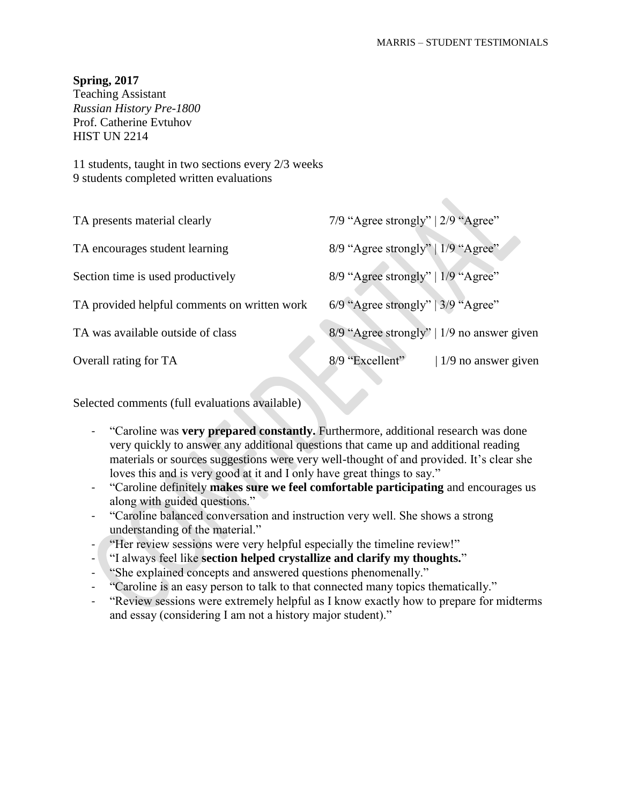$\bullet$ 

#### **Spring, 2017**

Teaching Assistant *Russian History Pre-1800* Prof. Catherine Evtuhov **HIST UN 2214** 

11 students, taught in two sections every 2/3 weeks 9 students completed written evaluations

| TA presents material clearly                 | 7/9 "Agree strongly"   $2/9$ "Agree"           |
|----------------------------------------------|------------------------------------------------|
| TA encourages student learning               | 8/9 "Agree strongly"   1/9 "Agree"             |
| Section time is used productively            | 8/9 "Agree strongly"   1/9 "Agree"             |
| TA provided helpful comments on written work | $6/9$ "Agree strongly"   $3/9$ "Agree"         |
| TA was available outside of class            | 8/9 "Agree strongly"   1/9 no answer given     |
| Overall rating for TA                        | 8/9 "Excellent"<br>$\vert$ 1/9 no answer given |

- "Caroline was **very prepared constantly.** Furthermore, additional research was done very quickly to answer any additional questions that came up and additional reading materials or sources suggestions were very well-thought of and provided. It's clear she loves this and is very good at it and I only have great things to say."
- "Caroline definitely **makes sure we feel comfortable participating** and encourages us along with guided questions."
- "Caroline balanced conversation and instruction very well. She shows a strong understanding of the material."
- "Her review sessions were very helpful especially the timeline review!"
- "I always feel like **section helped crystallize and clarify my thoughts.**"
- "She explained concepts and answered questions phenomenally."
- "Caroline is an easy person to talk to that connected many topics thematically."
- "Review sessions were extremely helpful as I know exactly how to prepare for midterms and essay (considering I am not a history major student)."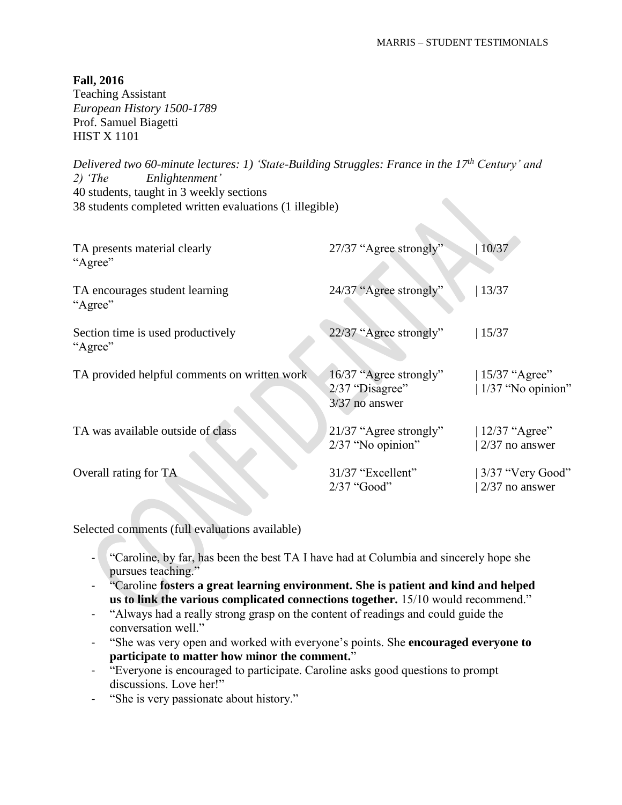Teaching Assistant *European History 1500-1789* Prof. Samuel Biagetti HIST X 1101

*Delivered two 60-minute lectures: 1) 'State-Building Struggles: France in the 17th Century' and 2) 'The Enlightenment'* 40 students, taught in 3 weekly sections 38 students completed written evaluations (1 illegible)

| TA presents material clearly<br>"Agree"      | 27/37 "Agree strongly"                                        | 10/37                                   |
|----------------------------------------------|---------------------------------------------------------------|-----------------------------------------|
| TA encourages student learning<br>"Agree"    | 24/37 "Agree strongly"                                        | 13/37                                   |
| Section time is used productively<br>"Agree" | 22/37 "Agree strongly"                                        | 15/37                                   |
| TA provided helpful comments on written work | 16/37 "Agree strongly"<br>2/37 "Disagree"<br>$3/37$ no answer | $15/37$ "Agree"<br>$ 1/37$ "No opinion" |
| TA was available outside of class            | 21/37 "Agree strongly"<br>2/37 "No opinion"                   | $12/37$ "Agree"<br>$2/37$ no answer     |
| Overall rating for TA                        | 31/37 "Excellent"<br>$2/37$ "Good"                            | $3/37$ "Very Good"<br>$2/37$ no answer  |

- "Caroline, by far, has been the best TA I have had at Columbia and sincerely hope she pursues teaching."
- "Caroline **fosters a great learning environment. She is patient and kind and helped us to link the various complicated connections together.** 15/10 would recommend."
- "Always had a really strong grasp on the content of readings and could guide the conversation well."
- "She was very open and worked with everyone's points. She **encouraged everyone to participate to matter how minor the comment.**"
- "Everyone is encouraged to participate. Caroline asks good questions to prompt discussions. Love her!"
- "She is very passionate about history."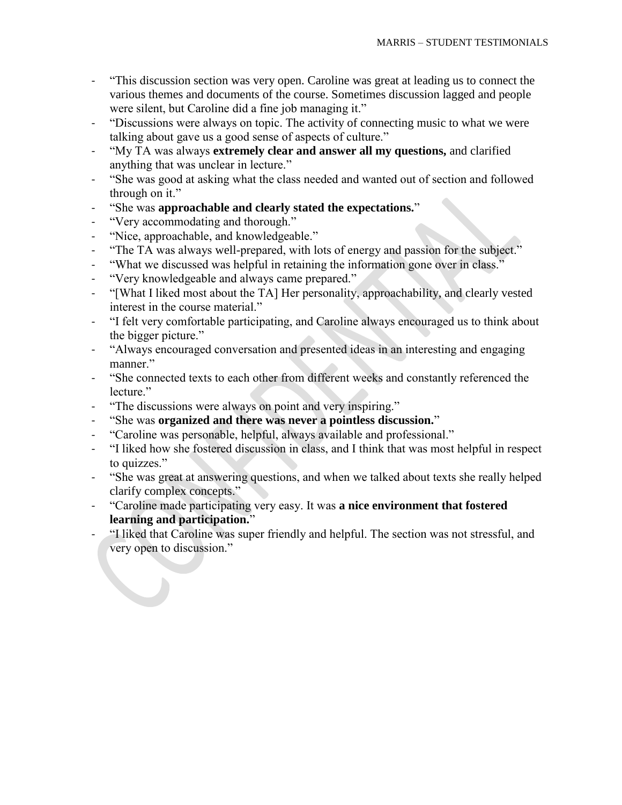- "This discussion section was very open. Caroline was great at leading us to connect the various themes and documents of the course. Sometimes discussion lagged and people were silent, but Caroline did a fine job managing it."
- "Discussions were always on topic. The activity of connecting music to what we were talking about gave us a good sense of aspects of culture."
- "My TA was always **extremely clear and answer all my questions,** and clarified anything that was unclear in lecture."
- "She was good at asking what the class needed and wanted out of section and followed through on it."
- "She was **approachable and clearly stated the expectations.**"
- "Very accommodating and thorough."
- "Nice, approachable, and knowledgeable."
- "The TA was always well-prepared, with lots of energy and passion for the subject."
- "What we discussed was helpful in retaining the information gone over in class."
- "Very knowledgeable and always came prepared."
- "[What I liked most about the TA] Her personality, approachability, and clearly vested interest in the course material."
- "I felt very comfortable participating, and Caroline always encouraged us to think about the bigger picture."
- "Always encouraged conversation and presented ideas in an interesting and engaging manner."
- "She connected texts to each other from different weeks and constantly referenced the lecture."
- "The discussions were always on point and very inspiring."
- "She was **organized and there was never a pointless discussion.**"
- "Caroline was personable, helpful, always available and professional."
- "I liked how she fostered discussion in class, and I think that was most helpful in respect to quizzes."
- "She was great at answering questions, and when we talked about texts she really helped clarify complex concepts."
- "Caroline made participating very easy. It was **a nice environment that fostered learning and participation.**"
- "I liked that Caroline was super friendly and helpful. The section was not stressful, and very open to discussion."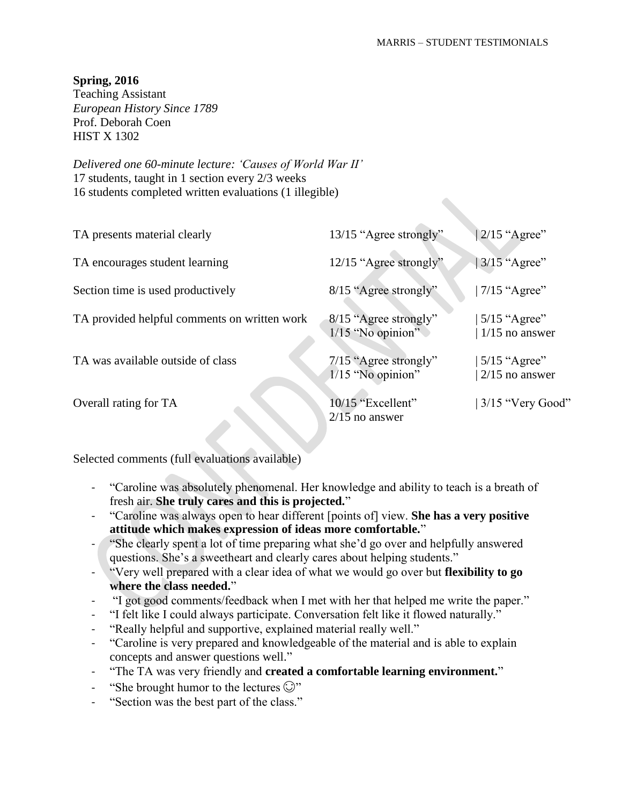# **Spring, 2016**

Teaching Assistant *European History Since 1789* Prof. Deborah Coen HIST X 1302

*Delivered one 60-minute lecture: 'Causes of World War II'* 17 students, taught in 1 section every 2/3 weeks 16 students completed written evaluations (1 illegible)

| TA presents material clearly                 | 13/15 "Agree strongly"                         | $2/15$ "Agree"                     |
|----------------------------------------------|------------------------------------------------|------------------------------------|
| TA encourages student learning               | 12/15 "Agree strongly"                         | $3/15$ "Agree"                     |
| Section time is used productively            | 8/15 "Agree strongly"                          | $7/15$ "Agree"                     |
| TA provided helpful comments on written work | 8/15 "Agree strongly"<br>$1/15$ "No opinion"   | $5/15$ "Agree"<br>$1/15$ no answer |
| TA was available outside of class            | $7/15$ "Agree strongly"<br>$1/15$ "No opinion" | $5/15$ "Agree"<br>$2/15$ no answer |
| Overall rating for TA                        | 10/15 "Excellent"<br>$2/15$ no answer          | 3/15 "Very Good"                   |

- "Caroline was absolutely phenomenal. Her knowledge and ability to teach is a breath of fresh air. **She truly cares and this is projected.**"
- "Caroline was always open to hear different [points of] view. **She has a very positive attitude which makes expression of ideas more comfortable.**"
- "She clearly spent a lot of time preparing what she'd go over and helpfully answered questions. She's a sweetheart and clearly cares about helping students."
- "Very well prepared with a clear idea of what we would go over but **flexibility to go where the class needed.**"
- "I got good comments/feedback when I met with her that helped me write the paper."
- "I felt like I could always participate. Conversation felt like it flowed naturally."
- "Really helpful and supportive, explained material really well."
- "Caroline is very prepared and knowledgeable of the material and is able to explain concepts and answer questions well."
- "The TA was very friendly and **created a comfortable learning environment.**"
- "She brought humor to the lectures  $\mathbb{C}$ "
- "Section was the best part of the class."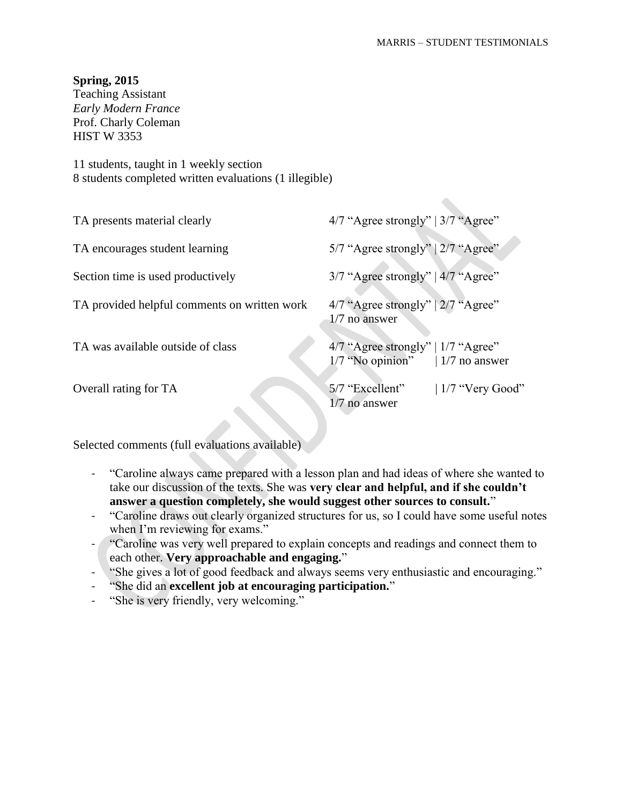$\bullet$ 

### **Spring, 2015**

Teaching Assistant *Early Modern France* Prof. Charly Coleman HIST W 3353

11 students, taught in 1 weekly section 8 students completed written evaluations (1 illegible)

| TA presents material clearly                 | $4/7$ "Agree strongly"   $3/7$ "Agree"                                         |
|----------------------------------------------|--------------------------------------------------------------------------------|
| TA encourages student learning               | 5/7 "Agree strongly"   2/7 "Agree"                                             |
| Section time is used productively            | $3/7$ "Agree strongly"   $4/7$ "Agree"                                         |
| TA provided helpful comments on written work | $4/7$ "Agree strongly"   $2/7$ "Agree"<br>$1/7$ no answer                      |
| TA was available outside of class            | $4/7$ "Agree strongly"   $1/7$ "Agree"<br>$1/7$ "No opinion"   $1/7$ no answer |
| Overall rating for TA                        | 5/7 "Excellent"<br>$\mid$ 1/7 "Very Good"<br>$1/7$ no answer                   |

- "Caroline always came prepared with a lesson plan and had ideas of where she wanted to take our discussion of the texts. She was **very clear and helpful, and if she couldn't answer a question completely, she would suggest other sources to consult.**"
- "Caroline draws out clearly organized structures for us, so I could have some useful notes when I'm reviewing for exams."
- "Caroline was very well prepared to explain concepts and readings and connect them to each other. **Very approachable and engaging.**"
- "She gives a lot of good feedback and always seems very enthusiastic and encouraging."
- "She did an **excellent job at encouraging participation.**"
- "She is very friendly, very welcoming."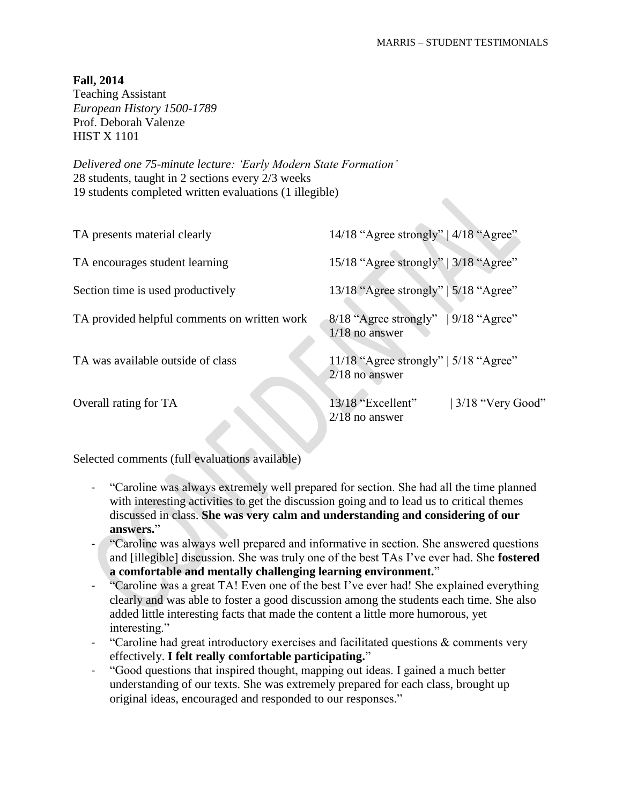Teaching Assistant *European History 1500-1789* Prof. Deborah Valenze HIST X 1101

*Delivered one 75-minute lecture: 'Early Modern State Formation'* 28 students, taught in 2 sections every 2/3 weeks 19 students completed written evaluations (1 illegible)

| TA presents material clearly                 | 14/18 "Agree strongly" $ 4/18$ "Agree"                               |
|----------------------------------------------|----------------------------------------------------------------------|
| TA encourages student learning               | 15/18 "Agree strongly"   3/18 "Agree"                                |
| Section time is used productively            | 13/18 "Agree strongly"   $5/18$ "Agree"                              |
| TA provided helpful comments on written work | $\sqrt{9/18}$ "Agree"<br>$8/18$ "Agree strongly"<br>$1/18$ no answer |
| TA was available outside of class            | 11/18 "Agree strongly"   $5/18$ "Agree"<br>$2/18$ no answer          |
| Overall rating for TA                        | 13/18 "Excellent"<br>$3/18$ "Very Good"<br>$2/18$ no answer          |

- "Caroline was always extremely well prepared for section. She had all the time planned with interesting activities to get the discussion going and to lead us to critical themes discussed in class. **She was very calm and understanding and considering of our answers.**"
- "Caroline was always well prepared and informative in section. She answered questions and [illegible] discussion. She was truly one of the best TAs I've ever had. She **fostered a comfortable and mentally challenging learning environment.**"
- "Caroline was a great TA! Even one of the best I've ever had! She explained everything clearly and was able to foster a good discussion among the students each time. She also added little interesting facts that made the content a little more humorous, yet interesting."
- "Caroline had great introductory exercises and facilitated questions  $&$  comments very effectively. **I felt really comfortable participating.**"
- "Good questions that inspired thought, mapping out ideas. I gained a much better understanding of our texts. She was extremely prepared for each class, brought up original ideas, encouraged and responded to our responses."